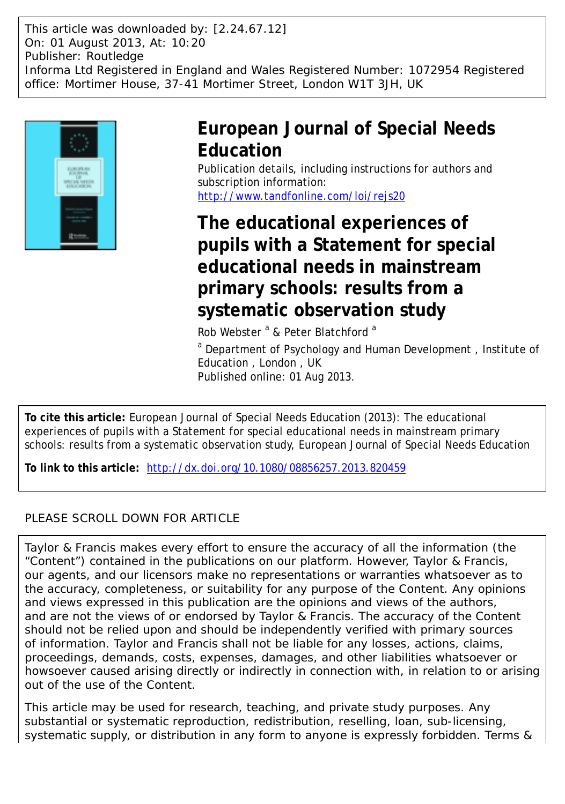This article was downloaded by: [2.24.67.12] On: 01 August 2013, At: 10:20 Publisher: Routledge Informa Ltd Registered in England and Wales Registered Number: 1072954 Registered office: Mortimer House, 37-41 Mortimer Street, London W1T 3JH, UK



# **European Journal of Special Needs Education**

Publication details, including instructions for authors and subscription information:

<http://www.tandfonline.com/loi/rejs20>

**The educational experiences of pupils with a Statement for special educational needs in mainstream primary schools: results from a systematic observation study**

Rob Webster<sup>a</sup> & Peter Blatchford<sup>a</sup>

<sup>a</sup> Department of Psychology and Human Development, Institute of Education , London , UK Published online: 01 Aug 2013.

**To cite this article:** European Journal of Special Needs Education (2013): The educational experiences of pupils with a Statement for special educational needs in mainstream primary schools: results from a systematic observation study, European Journal of Special Needs Education

**To link to this article:** <http://dx.doi.org/10.1080/08856257.2013.820459>

# PLEASE SCROLL DOWN FOR ARTICLE

Taylor & Francis makes every effort to ensure the accuracy of all the information (the "Content") contained in the publications on our platform. However, Taylor & Francis, our agents, and our licensors make no representations or warranties whatsoever as to the accuracy, completeness, or suitability for any purpose of the Content. Any opinions and views expressed in this publication are the opinions and views of the authors, and are not the views of or endorsed by Taylor & Francis. The accuracy of the Content should not be relied upon and should be independently verified with primary sources of information. Taylor and Francis shall not be liable for any losses, actions, claims, proceedings, demands, costs, expenses, damages, and other liabilities whatsoever or howsoever caused arising directly or indirectly in connection with, in relation to or arising out of the use of the Content.

This article may be used for research, teaching, and private study purposes. Any substantial or systematic reproduction, redistribution, reselling, loan, sub-licensing, systematic supply, or distribution in any form to anyone is expressly forbidden. Terms &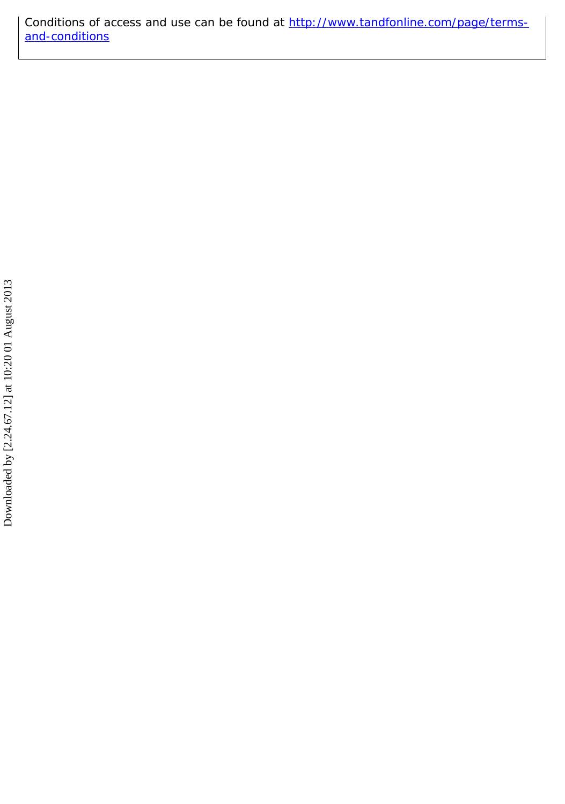Conditions of access and use can be found at [http://www.tandfonline.com/page/terms](http://www.tandfonline.com/page/terms-and-conditions)[and-conditions](http://www.tandfonline.com/page/terms-and-conditions)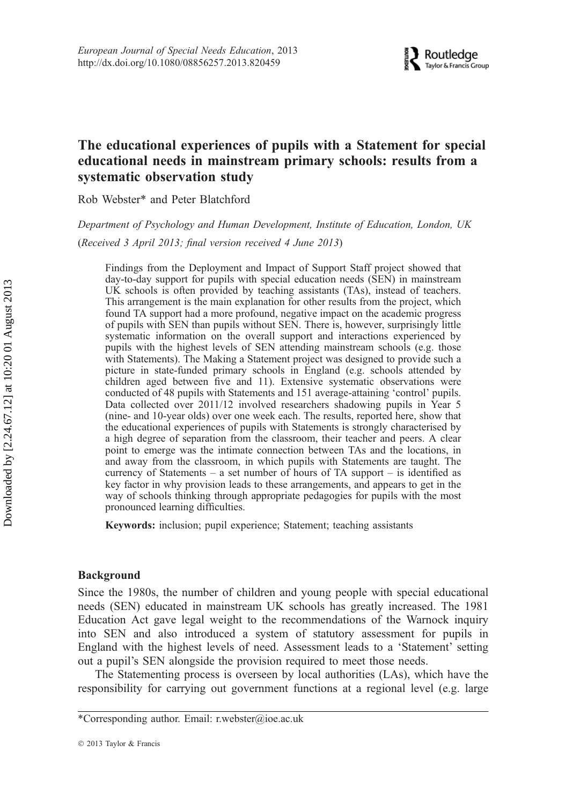## The educational experiences of pupils with a Statement for special educational needs in mainstream primary schools: results from a systematic observation study

Rob Webster\* and Peter Blatchford

Department of Psychology and Human Development, Institute of Education, London, UK (Received 3 April 2013; final version received 4 June 2013)

Findings from the Deployment and Impact of Support Staff project showed that day-to-day support for pupils with special education needs (SEN) in mainstream UK schools is often provided by teaching assistants (TAs), instead of teachers. This arrangement is the main explanation for other results from the project, which found TA support had a more profound, negative impact on the academic progress of pupils with SEN than pupils without SEN. There is, however, surprisingly little systematic information on the overall support and interactions experienced by pupils with the highest levels of SEN attending mainstream schools (e.g. those with Statements). The Making a Statement project was designed to provide such a picture in state-funded primary schools in England (e.g. schools attended by children aged between five and 11). Extensive systematic observations were conducted of 48 pupils with Statements and 151 average-attaining 'control' pupils. Data collected over 2011/12 involved researchers shadowing pupils in Year 5 (nine- and 10-year olds) over one week each. The results, reported here, show that the educational experiences of pupils with Statements is strongly characterised by a high degree of separation from the classroom, their teacher and peers. A clear point to emerge was the intimate connection between TAs and the locations, in and away from the classroom, in which pupils with Statements are taught. The currency of Statements – a set number of hours of TA support – is identified as key factor in why provision leads to these arrangements, and appears to get in the way of schools thinking through appropriate pedagogies for pupils with the most pronounced learning difficulties.

Keywords: inclusion; pupil experience; Statement; teaching assistants

## Background

Since the 1980s, the number of children and young people with special educational needs (SEN) educated in mainstream UK schools has greatly increased. The 1981 Education Act gave legal weight to the recommendations of the Warnock inquiry into SEN and also introduced a system of statutory assessment for pupils in England with the highest levels of need. Assessment leads to a 'Statement' setting out a pupil's SEN alongside the provision required to meet those needs.

The Statementing process is overseen by local authorities (LAs), which have the responsibility for carrying out government functions at a regional level (e.g. large

<sup>\*</sup>Corresponding author. Email: r.webster@ioe.ac.uk

2013 Taylor & Francis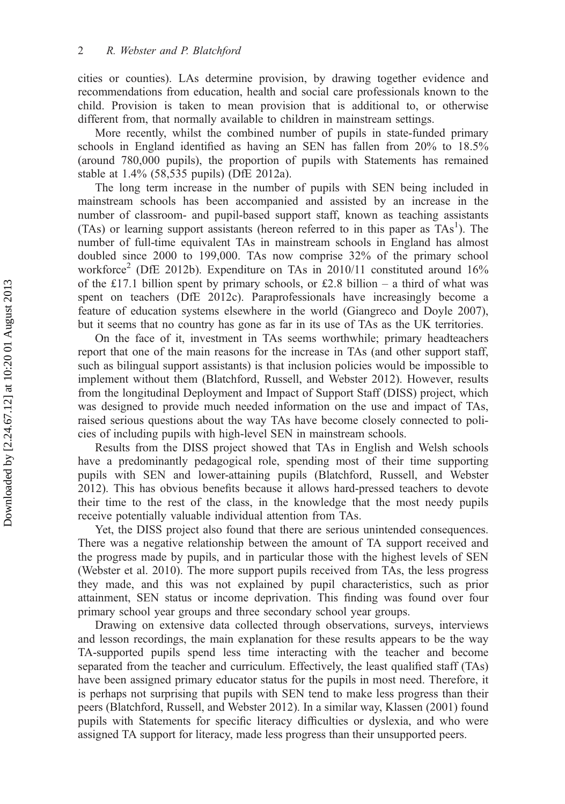cities or counties). LAs determine provision, by drawing together evidence and recommendations from education, health and social care professionals known to the child. Provision is taken to mean provision that is additional to, or otherwise different from, that normally available to children in mainstream settings.

More recently, whilst the combined number of pupils in state-funded primary schools in England identified as having an SEN has fallen from 20% to 18.5% (around 780,000 pupils), the proportion of pupils with Statements has remained stable at 1.4% (58,535 pupils) (DfE 2012a).

The long term increase in the number of pupils with SEN being included in mainstream schools has been accompanied and assisted by an increase in the number of classroom- and pupil-based support staff, known as teaching assistants (TAs) or learning support assistants (hereon referred to in this paper as  $TAs<sup>1</sup>$ ). The number of full-time equivalent TAs in mainstream schools in England has almost doubled since 2000 to 199,000. TAs now comprise 32% of the primary school workforce<sup>2</sup> (DfE 2012b). Expenditure on TAs in 2010/11 constituted around 16% of the £17.1 billion spent by primary schools, or £2.8 billion – a third of what was spent on teachers (DfE 2012c). Paraprofessionals have increasingly become a feature of education systems elsewhere in the world (Giangreco and Doyle 2007), but it seems that no country has gone as far in its use of TAs as the UK territories.

On the face of it, investment in TAs seems worthwhile; primary headteachers report that one of the main reasons for the increase in TAs (and other support staff, such as bilingual support assistants) is that inclusion policies would be impossible to implement without them (Blatchford, Russell, and Webster 2012). However, results from the longitudinal Deployment and Impact of Support Staff (DISS) project, which was designed to provide much needed information on the use and impact of TAs, raised serious questions about the way TAs have become closely connected to policies of including pupils with high-level SEN in mainstream schools.

Results from the DISS project showed that TAs in English and Welsh schools have a predominantly pedagogical role, spending most of their time supporting pupils with SEN and lower-attaining pupils (Blatchford, Russell, and Webster 2012). This has obvious benefits because it allows hard-pressed teachers to devote their time to the rest of the class, in the knowledge that the most needy pupils receive potentially valuable individual attention from TAs.

Yet, the DISS project also found that there are serious unintended consequences. There was a negative relationship between the amount of TA support received and the progress made by pupils, and in particular those with the highest levels of SEN (Webster et al. 2010). The more support pupils received from TAs, the less progress they made, and this was not explained by pupil characteristics, such as prior attainment, SEN status or income deprivation. This finding was found over four primary school year groups and three secondary school year groups.

Drawing on extensive data collected through observations, surveys, interviews and lesson recordings, the main explanation for these results appears to be the way TA-supported pupils spend less time interacting with the teacher and become separated from the teacher and curriculum. Effectively, the least qualified staff (TAs) have been assigned primary educator status for the pupils in most need. Therefore, it is perhaps not surprising that pupils with SEN tend to make less progress than their peers (Blatchford, Russell, and Webster 2012). In a similar way, Klassen (2001) found pupils with Statements for specific literacy difficulties or dyslexia, and who were assigned TA support for literacy, made less progress than their unsupported peers.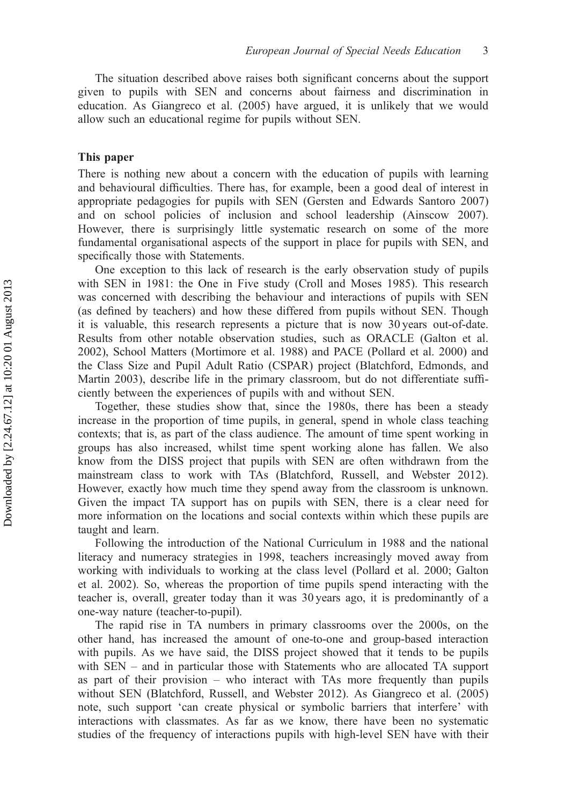The situation described above raises both significant concerns about the support given to pupils with SEN and concerns about fairness and discrimination in education. As Giangreco et al. (2005) have argued, it is unlikely that we would allow such an educational regime for pupils without SEN.

#### This paper

There is nothing new about a concern with the education of pupils with learning and behavioural difficulties. There has, for example, been a good deal of interest in appropriate pedagogies for pupils with SEN (Gersten and Edwards Santoro 2007) and on school policies of inclusion and school leadership (Ainscow 2007). However, there is surprisingly little systematic research on some of the more fundamental organisational aspects of the support in place for pupils with SEN, and specifically those with Statements.

One exception to this lack of research is the early observation study of pupils with SEN in 1981: the One in Five study (Croll and Moses 1985). This research was concerned with describing the behaviour and interactions of pupils with SEN (as defined by teachers) and how these differed from pupils without SEN. Though it is valuable, this research represents a picture that is now 30 years out-of-date. Results from other notable observation studies, such as ORACLE (Galton et al. 2002), School Matters (Mortimore et al. 1988) and PACE (Pollard et al. 2000) and the Class Size and Pupil Adult Ratio (CSPAR) project (Blatchford, Edmonds, and Martin 2003), describe life in the primary classroom, but do not differentiate sufficiently between the experiences of pupils with and without SEN.

Together, these studies show that, since the 1980s, there has been a steady increase in the proportion of time pupils, in general, spend in whole class teaching contexts; that is, as part of the class audience. The amount of time spent working in groups has also increased, whilst time spent working alone has fallen. We also know from the DISS project that pupils with SEN are often withdrawn from the mainstream class to work with TAs (Blatchford, Russell, and Webster 2012). However, exactly how much time they spend away from the classroom is unknown. Given the impact TA support has on pupils with SEN, there is a clear need for more information on the locations and social contexts within which these pupils are taught and learn.

Following the introduction of the National Curriculum in 1988 and the national literacy and numeracy strategies in 1998, teachers increasingly moved away from working with individuals to working at the class level (Pollard et al. 2000; Galton et al. 2002). So, whereas the proportion of time pupils spend interacting with the teacher is, overall, greater today than it was 30 years ago, it is predominantly of a one-way nature (teacher-to-pupil).

The rapid rise in TA numbers in primary classrooms over the 2000s, on the other hand, has increased the amount of one-to-one and group-based interaction with pupils. As we have said, the DISS project showed that it tends to be pupils with SEN – and in particular those with Statements who are allocated TA support as part of their provision – who interact with TAs more frequently than pupils without SEN (Blatchford, Russell, and Webster 2012). As Giangreco et al. (2005) note, such support 'can create physical or symbolic barriers that interfere' with interactions with classmates. As far as we know, there have been no systematic studies of the frequency of interactions pupils with high-level SEN have with their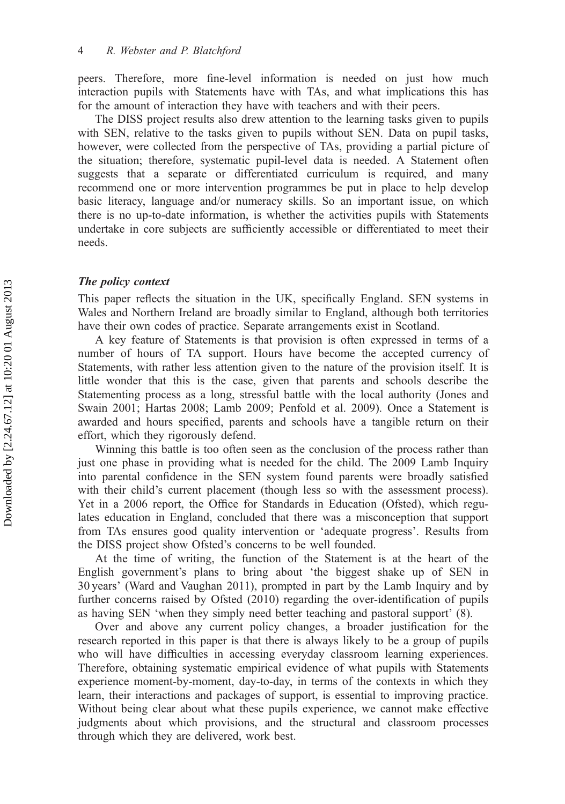peers. Therefore, more fine-level information is needed on just how much interaction pupils with Statements have with TAs, and what implications this has for the amount of interaction they have with teachers and with their peers.

The DISS project results also drew attention to the learning tasks given to pupils with SEN, relative to the tasks given to pupils without SEN. Data on pupil tasks, however, were collected from the perspective of TAs, providing a partial picture of the situation; therefore, systematic pupil-level data is needed. A Statement often suggests that a separate or differentiated curriculum is required, and many recommend one or more intervention programmes be put in place to help develop basic literacy, language and/or numeracy skills. So an important issue, on which there is no up-to-date information, is whether the activities pupils with Statements undertake in core subjects are sufficiently accessible or differentiated to meet their needs.

#### The policy context

This paper reflects the situation in the UK, specifically England. SEN systems in Wales and Northern Ireland are broadly similar to England, although both territories have their own codes of practice. Separate arrangements exist in Scotland.

A key feature of Statements is that provision is often expressed in terms of a number of hours of TA support. Hours have become the accepted currency of Statements, with rather less attention given to the nature of the provision itself. It is little wonder that this is the case, given that parents and schools describe the Statementing process as a long, stressful battle with the local authority (Jones and Swain 2001; Hartas 2008; Lamb 2009; Penfold et al. 2009). Once a Statement is awarded and hours specified, parents and schools have a tangible return on their effort, which they rigorously defend.

Winning this battle is too often seen as the conclusion of the process rather than just one phase in providing what is needed for the child. The 2009 Lamb Inquiry into parental confidence in the SEN system found parents were broadly satisfied with their child's current placement (though less so with the assessment process). Yet in a 2006 report, the Office for Standards in Education (Ofsted), which regulates education in England, concluded that there was a misconception that support from TAs ensures good quality intervention or 'adequate progress'. Results from the DISS project show Ofsted's concerns to be well founded.

At the time of writing, the function of the Statement is at the heart of the English government's plans to bring about 'the biggest shake up of SEN in 30 years' (Ward and Vaughan 2011), prompted in part by the Lamb Inquiry and by further concerns raised by Ofsted (2010) regarding the over-identification of pupils as having SEN 'when they simply need better teaching and pastoral support' (8).

Over and above any current policy changes, a broader justification for the research reported in this paper is that there is always likely to be a group of pupils who will have difficulties in accessing everyday classroom learning experiences. Therefore, obtaining systematic empirical evidence of what pupils with Statements experience moment-by-moment, day-to-day, in terms of the contexts in which they learn, their interactions and packages of support, is essential to improving practice. Without being clear about what these pupils experience, we cannot make effective judgments about which provisions, and the structural and classroom processes through which they are delivered, work best.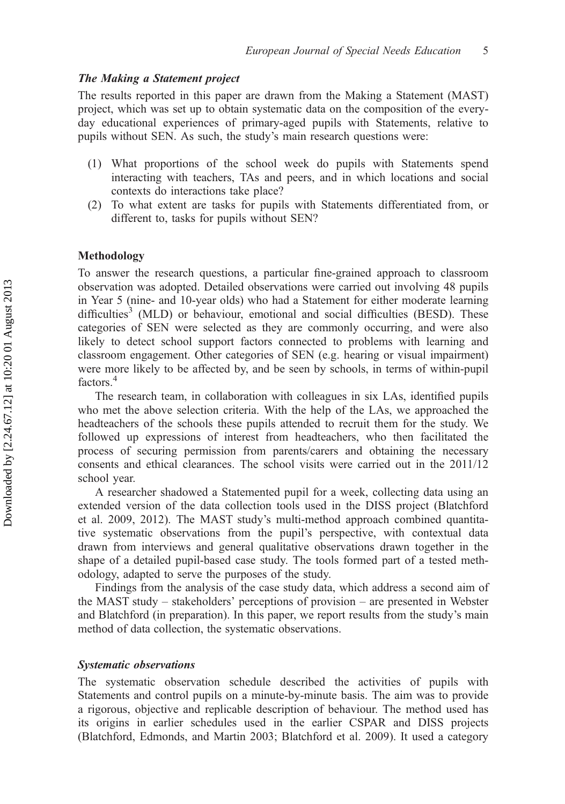## The Making a Statement project

The results reported in this paper are drawn from the Making a Statement (MAST) project, which was set up to obtain systematic data on the composition of the everyday educational experiences of primary-aged pupils with Statements, relative to pupils without SEN. As such, the study's main research questions were:

- (1) What proportions of the school week do pupils with Statements spend interacting with teachers, TAs and peers, and in which locations and social contexts do interactions take place?
- (2) To what extent are tasks for pupils with Statements differentiated from, or different to, tasks for pupils without SEN?

#### Methodology

To answer the research questions, a particular fine-grained approach to classroom observation was adopted. Detailed observations were carried out involving 48 pupils in Year 5 (nine- and 10-year olds) who had a Statement for either moderate learning difficulties<sup>3</sup> (MLD) or behaviour, emotional and social difficulties (BESD). These categories of SEN were selected as they are commonly occurring, and were also likely to detect school support factors connected to problems with learning and classroom engagement. Other categories of SEN (e.g. hearing or visual impairment) were more likely to be affected by, and be seen by schools, in terms of within-pupil factors.<sup>4</sup>

The research team, in collaboration with colleagues in six LAs, identified pupils who met the above selection criteria. With the help of the LAs, we approached the headteachers of the schools these pupils attended to recruit them for the study. We followed up expressions of interest from headteachers, who then facilitated the process of securing permission from parents/carers and obtaining the necessary consents and ethical clearances. The school visits were carried out in the 2011/12 school year.

A researcher shadowed a Statemented pupil for a week, collecting data using an extended version of the data collection tools used in the DISS project (Blatchford et al. 2009, 2012). The MAST study's multi-method approach combined quantitative systematic observations from the pupil's perspective, with contextual data drawn from interviews and general qualitative observations drawn together in the shape of a detailed pupil-based case study. The tools formed part of a tested methodology, adapted to serve the purposes of the study.

Findings from the analysis of the case study data, which address a second aim of the MAST study – stakeholders' perceptions of provision – are presented in Webster and Blatchford (in preparation). In this paper, we report results from the study's main method of data collection, the systematic observations.

#### Systematic observations

The systematic observation schedule described the activities of pupils with Statements and control pupils on a minute-by-minute basis. The aim was to provide a rigorous, objective and replicable description of behaviour. The method used has its origins in earlier schedules used in the earlier CSPAR and DISS projects (Blatchford, Edmonds, and Martin 2003; Blatchford et al. 2009). It used a category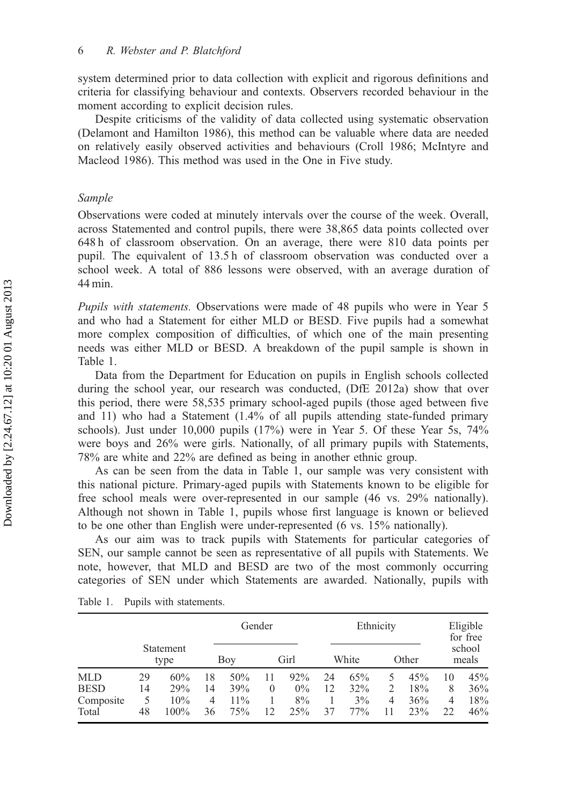system determined prior to data collection with explicit and rigorous definitions and criteria for classifying behaviour and contexts. Observers recorded behaviour in the moment according to explicit decision rules.

Despite criticisms of the validity of data collected using systematic observation (Delamont and Hamilton 1986), this method can be valuable where data are needed on relatively easily observed activities and behaviours (Croll 1986; McIntyre and Macleod 1986). This method was used in the One in Five study.

#### Sample

Observations were coded at minutely intervals over the course of the week. Overall, across Statemented and control pupils, there were 38,865 data points collected over 648 h of classroom observation. On an average, there were 810 data points per pupil. The equivalent of 13.5 h of classroom observation was conducted over a school week. A total of 886 lessons were observed, with an average duration of 44 min.

Pupils with statements. Observations were made of 48 pupils who were in Year 5 and who had a Statement for either MLD or BESD. Five pupils had a somewhat more complex composition of difficulties, of which one of the main presenting needs was either MLD or BESD. A breakdown of the pupil sample is shown in Table 1.

Data from the Department for Education on pupils in English schools collected during the school year, our research was conducted, (DfE 2012a) show that over this period, there were 58,535 primary school-aged pupils (those aged between five and 11) who had a Statement (1.4% of all pupils attending state-funded primary schools). Just under 10,000 pupils (17%) were in Year 5. Of these Year 5s, 74% were boys and 26% were girls. Nationally, of all primary pupils with Statements, 78% are white and 22% are defined as being in another ethnic group.

As can be seen from the data in Table 1, our sample was very consistent with this national picture. Primary-aged pupils with Statements known to be eligible for free school meals were over-represented in our sample (46 vs. 29% nationally). Although not shown in Table 1, pupils whose first language is known or believed to be one other than English were under-represented (6 vs. 15% nationally).

As our aim was to track pupils with Statements for particular categories of SEN, our sample cannot be seen as representative of all pupils with Statements. We note, however, that MLD and BESD are two of the most commonly occurring categories of SEN under which Statements are awarded. Nationally, pupils with

| Table 1.<br>Pupils with statements. |
|-------------------------------------|
|-------------------------------------|

|                           |                   |                |          |            | Gender   |              | Ethnicity |              |         |            | Eligible<br>for free |                 |  |
|---------------------------|-------------------|----------------|----------|------------|----------|--------------|-----------|--------------|---------|------------|----------------------|-----------------|--|
|                           | Statement<br>type |                |          | Boy        |          | Girl         |           | White        |         | Other      |                      | school<br>meals |  |
| <b>MLD</b><br><b>BESD</b> | 29<br>14          | 60%<br>29%     | 18<br>14 | 50%<br>39% | $\theta$ | 92%<br>$0\%$ | 24<br>12  | 65%<br>32%   | 2       | 45%<br>18% | 10<br>8              | 45%<br>36%      |  |
| Composite<br>Total        | 48                | 10%<br>$100\%$ | 4<br>36  | 11%<br>75% | 12       | 8%<br>25%    | 37        | $3\%$<br>77% | 4<br>11 | 36%<br>23% | 4<br>22              | 18%<br>46%      |  |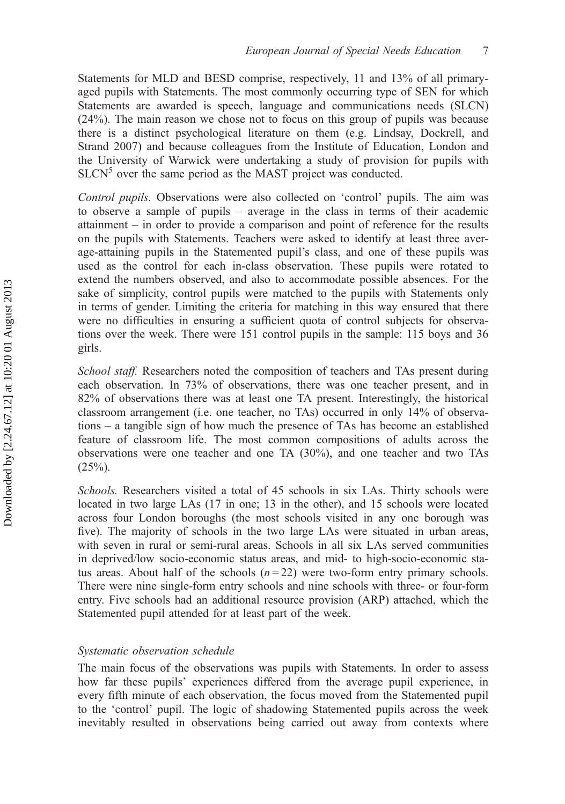Statements for MLD and BESD comprise, respectively, 11 and 13% of all primaryaged pupils with Statements. The most commonly occurring type of SEN for which Statements are awarded is speech, language and communications needs (SLCN) (24%). The main reason we chose not to focus on this group of pupils was because there is a distinct psychological literature on them (e.g. Lindsay, Dockrell, and Strand 2007) and because colleagues from the Institute of Education, London and the University of Warwick were undertaking a study of provision for pupils with  $SLCN<sup>5</sup>$  over the same period as the MAST project was conducted.

Control pupils. Observations were also collected on 'control' pupils. The aim was to observe a sample of pupils – average in the class in terms of their academic attainment – in order to provide a comparison and point of reference for the results on the pupils with Statements. Teachers were asked to identify at least three average-attaining pupils in the Statemented pupil's class, and one of these pupils was used as the control for each in-class observation. These pupils were rotated to extend the numbers observed, and also to accommodate possible absences. For the sake of simplicity, control pupils were matched to the pupils with Statements only in terms of gender. Limiting the criteria for matching in this way ensured that there were no difficulties in ensuring a sufficient quota of control subjects for observations over the week. There were 151 control pupils in the sample: 115 boys and 36 girls.

School staff. Researchers noted the composition of teachers and TAs present during each observation. In 73% of observations, there was one teacher present, and in 82% of observations there was at least one TA present. Interestingly, the historical classroom arrangement (i.e. one teacher, no TAs) occurred in only 14% of observations – a tangible sign of how much the presence of TAs has become an established feature of classroom life. The most common compositions of adults across the observations were one teacher and one TA (30%), and one teacher and two TAs  $(25\%)$ .

Schools. Researchers visited a total of 45 schools in six LAs. Thirty schools were located in two large LAs (17 in one; 13 in the other), and 15 schools were located across four London boroughs (the most schools visited in any one borough was five). The majority of schools in the two large LAs were situated in urban areas, with seven in rural or semi-rural areas. Schools in all six LAs served communities in deprived/low socio-economic status areas, and mid- to high-socio-economic status areas. About half of the schools  $(n=22)$  were two-form entry primary schools. There were nine single-form entry schools and nine schools with three- or four-form entry. Five schools had an additional resource provision (ARP) attached, which the Statemented pupil attended for at least part of the week.

#### Systematic observation schedule

The main focus of the observations was pupils with Statements. In order to assess how far these pupils' experiences differed from the average pupil experience, in every fifth minute of each observation, the focus moved from the Statemented pupil to the 'control' pupil. The logic of shadowing Statemented pupils across the week inevitably resulted in observations being carried out away from contexts where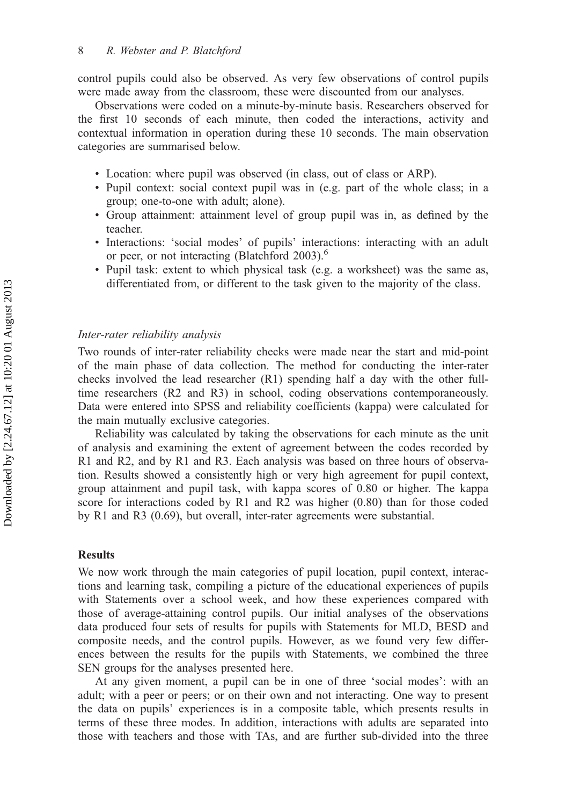control pupils could also be observed. As very few observations of control pupils were made away from the classroom, these were discounted from our analyses.

Observations were coded on a minute-by-minute basis. Researchers observed for the first 10 seconds of each minute, then coded the interactions, activity and contextual information in operation during these 10 seconds. The main observation categories are summarised below.

- Location: where pupil was observed (in class, out of class or ARP).
- Pupil context: social context pupil was in (e.g. part of the whole class; in a group; one-to-one with adult; alone).
- Group attainment: attainment level of group pupil was in, as defined by the teacher.
- Interactions: 'social modes' of pupils' interactions: interacting with an adult or peer, or not interacting (Blatchford 2003).<sup>6</sup>
- Pupil task: extent to which physical task (e.g. a worksheet) was the same as, differentiated from, or different to the task given to the majority of the class.

#### Inter-rater reliability analysis

Two rounds of inter-rater reliability checks were made near the start and mid-point of the main phase of data collection. The method for conducting the inter-rater checks involved the lead researcher (R1) spending half a day with the other fulltime researchers (R2 and R3) in school, coding observations contemporaneously. Data were entered into SPSS and reliability coefficients (kappa) were calculated for the main mutually exclusive categories.

Reliability was calculated by taking the observations for each minute as the unit of analysis and examining the extent of agreement between the codes recorded by R1 and R2, and by R1 and R3. Each analysis was based on three hours of observation. Results showed a consistently high or very high agreement for pupil context, group attainment and pupil task, with kappa scores of 0.80 or higher. The kappa score for interactions coded by R1 and R2 was higher (0.80) than for those coded by R1 and R3 (0.69), but overall, inter-rater agreements were substantial.

## Results

We now work through the main categories of pupil location, pupil context, interactions and learning task, compiling a picture of the educational experiences of pupils with Statements over a school week, and how these experiences compared with those of average-attaining control pupils. Our initial analyses of the observations data produced four sets of results for pupils with Statements for MLD, BESD and composite needs, and the control pupils. However, as we found very few differences between the results for the pupils with Statements, we combined the three SEN groups for the analyses presented here.

At any given moment, a pupil can be in one of three 'social modes': with an adult; with a peer or peers; or on their own and not interacting. One way to present the data on pupils' experiences is in a composite table, which presents results in terms of these three modes. In addition, interactions with adults are separated into those with teachers and those with TAs, and are further sub-divided into the three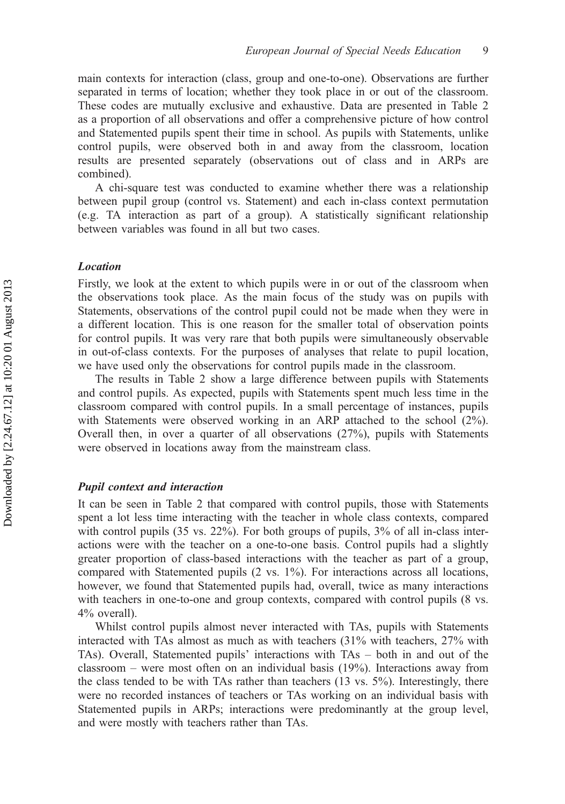main contexts for interaction (class, group and one-to-one). Observations are further separated in terms of location; whether they took place in or out of the classroom. These codes are mutually exclusive and exhaustive. Data are presented in Table 2 as a proportion of all observations and offer a comprehensive picture of how control and Statemented pupils spent their time in school. As pupils with Statements, unlike control pupils, were observed both in and away from the classroom, location results are presented separately (observations out of class and in ARPs are combined).

A chi-square test was conducted to examine whether there was a relationship between pupil group (control vs. Statement) and each in-class context permutation (e.g. TA interaction as part of a group). A statistically significant relationship between variables was found in all but two cases.

## Location

Firstly, we look at the extent to which pupils were in or out of the classroom when the observations took place. As the main focus of the study was on pupils with Statements, observations of the control pupil could not be made when they were in a different location. This is one reason for the smaller total of observation points for control pupils. It was very rare that both pupils were simultaneously observable in out-of-class contexts. For the purposes of analyses that relate to pupil location, we have used only the observations for control pupils made in the classroom.

The results in Table 2 show a large difference between pupils with Statements and control pupils. As expected, pupils with Statements spent much less time in the classroom compared with control pupils. In a small percentage of instances, pupils with Statements were observed working in an ARP attached to the school  $(2\%)$ . Overall then, in over a quarter of all observations (27%), pupils with Statements were observed in locations away from the mainstream class.

## Pupil context and interaction

It can be seen in Table 2 that compared with control pupils, those with Statements spent a lot less time interacting with the teacher in whole class contexts, compared with control pupils (35 vs. 22%). For both groups of pupils, 3% of all in-class interactions were with the teacher on a one-to-one basis. Control pupils had a slightly greater proportion of class-based interactions with the teacher as part of a group, compared with Statemented pupils  $(2 \text{ vs. } 1\%)$ . For interactions across all locations, however, we found that Statemented pupils had, overall, twice as many interactions with teachers in one-to-one and group contexts, compared with control pupils (8 vs. 4% overall).

Whilst control pupils almost never interacted with TAs, pupils with Statements interacted with TAs almost as much as with teachers (31% with teachers, 27% with TAs). Overall, Statemented pupils' interactions with TAs – both in and out of the classroom – were most often on an individual basis (19%). Interactions away from the class tended to be with TAs rather than teachers (13 vs. 5%). Interestingly, there were no recorded instances of teachers or TAs working on an individual basis with Statemented pupils in ARPs; interactions were predominantly at the group level, and were mostly with teachers rather than TAs.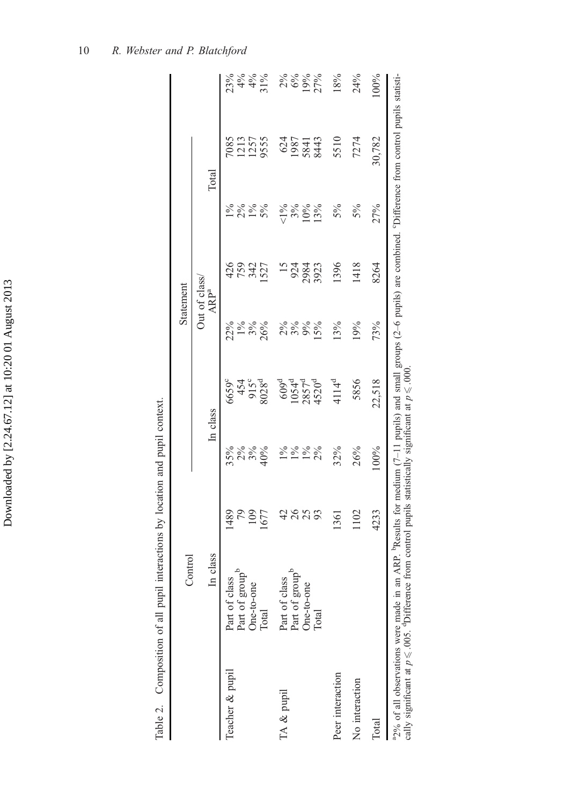|                  | Control                                                                                                                                                                                                                                                                                 |      |               |                               | Statement |                         |               |              |                |
|------------------|-----------------------------------------------------------------------------------------------------------------------------------------------------------------------------------------------------------------------------------------------------------------------------------------|------|---------------|-------------------------------|-----------|-------------------------|---------------|--------------|----------------|
|                  |                                                                                                                                                                                                                                                                                         |      |               |                               |           | Out of class            |               |              |                |
|                  | In class                                                                                                                                                                                                                                                                                |      |               | In class                      |           | <b>ARP</b> <sup>a</sup> |               | Total        |                |
| Teacher & pupil  | Part of class                                                                                                                                                                                                                                                                           | 1489 |               | 6659°                         |           |                         |               | 7085         | 23%            |
|                  | Part of group <sup>b</sup>                                                                                                                                                                                                                                                              |      | $35%$<br>$2%$ |                               | 22%<br>1% | 4292<br>423             | 2828          |              |                |
|                  | One-to-one                                                                                                                                                                                                                                                                              |      |               |                               | 3%        |                         |               | 1213<br>1257 | $\frac{25}{4}$ |
|                  | Total                                                                                                                                                                                                                                                                                   | 1091 | 40%           | $454$<br>915°<br>8028°        | 26%       | 1527                    |               | 9555         | $31\%$         |
| TA & pupil       | Part of class                                                                                                                                                                                                                                                                           |      |               | $609^{\rm d}$                 |           | $\frac{21}{2}$          |               | 624          |                |
|                  | Part of group <sup>b</sup>                                                                                                                                                                                                                                                              |      |               | $1054^{\rm d}$                |           | 924                     | $\frac{3}{8}$ | 1987         |                |
|                  | One-to-one                                                                                                                                                                                                                                                                              | 2833 | 222%          | $2857^d$<br>4520 <sup>d</sup> | 888<br>08 | 2984                    | 10%           | 5841         | 28882          |
|                  | Total                                                                                                                                                                                                                                                                                   |      |               |                               | 15%       | 3923                    | 13%           | 8443         |                |
| Peer interaction |                                                                                                                                                                                                                                                                                         | 1361 | 32%           | $4114^d$                      | 13%       | 1396                    | $5\%$         | 5510         | 18%            |
| No interaction   |                                                                                                                                                                                                                                                                                         | 1102 | 26%           | 5856                          | 19%       | 1418                    | $5\%$         | 7274         | 24%            |
| Total            |                                                                                                                                                                                                                                                                                         | 4233 | 100%          | 22,518                        | 73%       | 8264                    | 27%           | 30,782       | 100%           |
|                  | $2\%$ of all observations were made in an ARP. Results for medium (7-11 pupils) and small groups (2-6 pupils) are combined. Difference from control pupils statisti-<br>cally significant at $p \le 0.005$ . "Difference from control pupils statistically significant at $p \le 0.000$ |      |               |                               |           |                         |               |              |                |

Composition of all pupil interactions by location and pupil context. Table 2. Composition of all pupil interactions by location and pupil context. Table 2.

Downloaded by [2.24.67.12] at 10:20 01 August 2013 Downloaded by [2.24.67.12] at 10:20 01 August 2013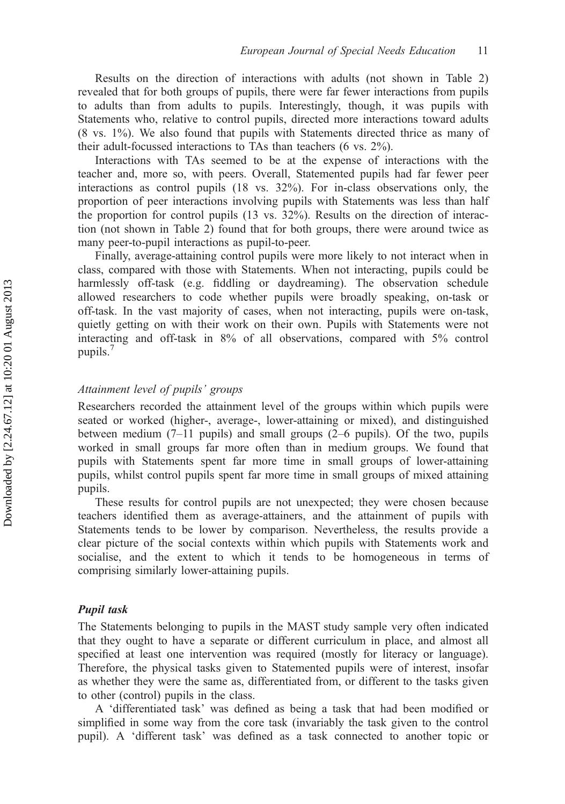Results on the direction of interactions with adults (not shown in Table 2) revealed that for both groups of pupils, there were far fewer interactions from pupils to adults than from adults to pupils. Interestingly, though, it was pupils with Statements who, relative to control pupils, directed more interactions toward adults (8 vs. 1%). We also found that pupils with Statements directed thrice as many of their adult-focussed interactions to TAs than teachers (6 vs. 2%).

Interactions with TAs seemed to be at the expense of interactions with the teacher and, more so, with peers. Overall, Statemented pupils had far fewer peer interactions as control pupils (18 vs. 32%). For in-class observations only, the proportion of peer interactions involving pupils with Statements was less than half the proportion for control pupils (13 vs. 32%). Results on the direction of interaction (not shown in Table 2) found that for both groups, there were around twice as many peer-to-pupil interactions as pupil-to-peer.

Finally, average-attaining control pupils were more likely to not interact when in class, compared with those with Statements. When not interacting, pupils could be harmlessly off-task (e.g. fiddling or daydreaming). The observation schedule allowed researchers to code whether pupils were broadly speaking, on-task or off-task. In the vast majority of cases, when not interacting, pupils were on-task, quietly getting on with their work on their own. Pupils with Statements were not interacting and off-task in 8% of all observations, compared with 5% control pupils.<sup>7</sup>

#### Attainment level of pupils' groups

Researchers recorded the attainment level of the groups within which pupils were seated or worked (higher-, average-, lower-attaining or mixed), and distinguished between medium  $(7-11)$  pupils) and small groups  $(2-6)$  pupils). Of the two, pupils worked in small groups far more often than in medium groups. We found that pupils with Statements spent far more time in small groups of lower-attaining pupils, whilst control pupils spent far more time in small groups of mixed attaining pupils.

These results for control pupils are not unexpected; they were chosen because teachers identified them as average-attainers, and the attainment of pupils with Statements tends to be lower by comparison. Nevertheless, the results provide a clear picture of the social contexts within which pupils with Statements work and socialise, and the extent to which it tends to be homogeneous in terms of comprising similarly lower-attaining pupils.

#### Pupil task

The Statements belonging to pupils in the MAST study sample very often indicated that they ought to have a separate or different curriculum in place, and almost all specified at least one intervention was required (mostly for literacy or language). Therefore, the physical tasks given to Statemented pupils were of interest, insofar as whether they were the same as, differentiated from, or different to the tasks given to other (control) pupils in the class.

A 'differentiated task' was defined as being a task that had been modified or simplified in some way from the core task (invariably the task given to the control pupil). A 'different task' was defined as a task connected to another topic or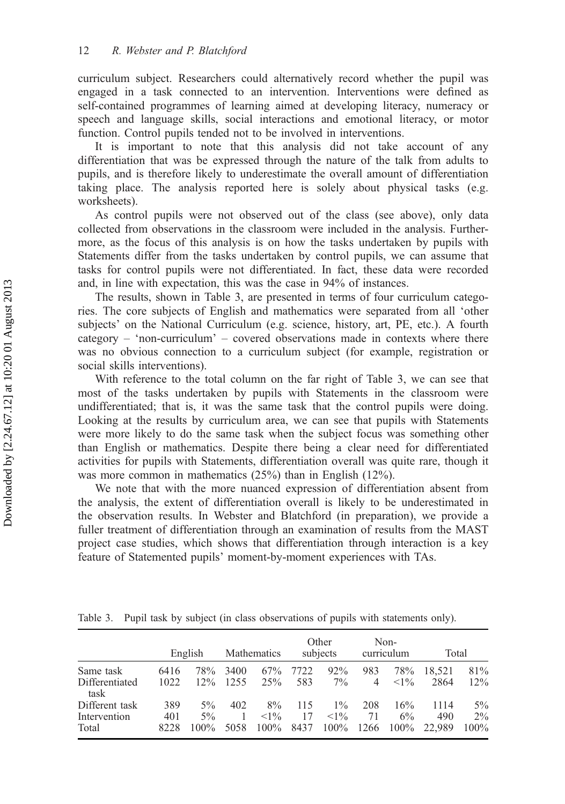curriculum subject. Researchers could alternatively record whether the pupil was engaged in a task connected to an intervention. Interventions were defined as self-contained programmes of learning aimed at developing literacy, numeracy or speech and language skills, social interactions and emotional literacy, or motor function. Control pupils tended not to be involved in interventions.

It is important to note that this analysis did not take account of any differentiation that was be expressed through the nature of the talk from adults to pupils, and is therefore likely to underestimate the overall amount of differentiation taking place. The analysis reported here is solely about physical tasks (e.g. worksheets).

As control pupils were not observed out of the class (see above), only data collected from observations in the classroom were included in the analysis. Furthermore, as the focus of this analysis is on how the tasks undertaken by pupils with Statements differ from the tasks undertaken by control pupils, we can assume that tasks for control pupils were not differentiated. In fact, these data were recorded and, in line with expectation, this was the case in 94% of instances.

The results, shown in Table 3, are presented in terms of four curriculum categories. The core subjects of English and mathematics were separated from all 'other subjects' on the National Curriculum (e.g. science, history, art, PE, etc.). A fourth category – 'non-curriculum' – covered observations made in contexts where there was no obvious connection to a curriculum subject (for example, registration or social skills interventions).

With reference to the total column on the far right of Table 3, we can see that most of the tasks undertaken by pupils with Statements in the classroom were undifferentiated; that is, it was the same task that the control pupils were doing. Looking at the results by curriculum area, we can see that pupils with Statements were more likely to do the same task when the subject focus was something other than English or mathematics. Despite there being a clear need for differentiated activities for pupils with Statements, differentiation overall was quite rare, though it was more common in mathematics (25%) than in English (12%).

We note that with the more nuanced expression of differentiation absent from the analysis, the extent of differentiation overall is likely to be underestimated in the observation results. In Webster and Blatchford (in preparation), we provide a fuller treatment of differentiation through an examination of results from the MAST project case studies, which shows that differentiation through interaction is a key feature of Statemented pupils' moment-by-moment experiences with TAs.

Table 3. Pupil task by subject (in class observations of pupils with statements only).

|                        | English |         | Mathematics |         | Other<br>subjects |         | Non-<br>curriculum |         | Total  |       |
|------------------------|---------|---------|-------------|---------|-------------------|---------|--------------------|---------|--------|-------|
| Same task              | 6416    | 78%     | 3400        | 67%     | 7722              | $92\%$  | 983                | 78%     | 18.521 | 81%   |
| Differentiated<br>task | 1022    | $12\%$  | 1255        | 25%     | 583               | $7\%$   | 4                  | $<1\%$  | 2864   | 12%   |
| Different task         | 389     | $5\%$   | 402         | 8%      | 115               | $1\%$   | 208                | 16%     | 1114   | $5\%$ |
| Intervention           | 401     | $5\%$   |             | $<1\%$  | 17                | $<1\%$  | 71                 | 6%      | 490    | $2\%$ |
| Total                  | 8228    | $100\%$ | 5058        | $100\%$ | 8437              | $100\%$ | -1266              | $100\%$ | 22,989 | 100%  |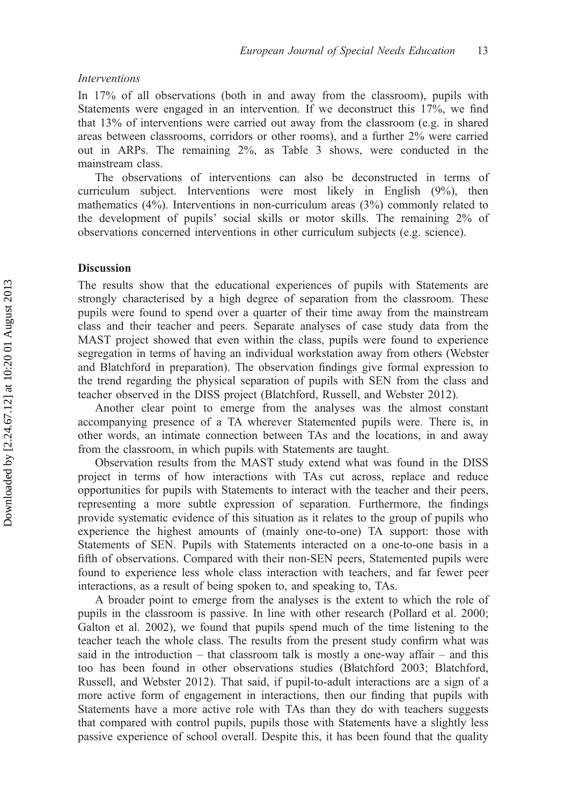## **Interventions**

In 17% of all observations (both in and away from the classroom), pupils with Statements were engaged in an intervention. If we deconstruct this 17%, we find that 13% of interventions were carried out away from the classroom (e.g. in shared areas between classrooms, corridors or other rooms), and a further 2% were carried out in ARPs. The remaining 2%, as Table 3 shows, were conducted in the mainstream class.

The observations of interventions can also be deconstructed in terms of curriculum subject. Interventions were most likely in English (9%), then mathematics (4%). Interventions in non-curriculum areas (3%) commonly related to the development of pupils' social skills or motor skills. The remaining 2% of observations concerned interventions in other curriculum subjects (e.g. science).

#### **Discussion**

The results show that the educational experiences of pupils with Statements are strongly characterised by a high degree of separation from the classroom. These pupils were found to spend over a quarter of their time away from the mainstream class and their teacher and peers. Separate analyses of case study data from the MAST project showed that even within the class, pupils were found to experience segregation in terms of having an individual workstation away from others (Webster and Blatchford in preparation). The observation findings give formal expression to the trend regarding the physical separation of pupils with SEN from the class and teacher observed in the DISS project (Blatchford, Russell, and Webster 2012).

Another clear point to emerge from the analyses was the almost constant accompanying presence of a TA wherever Statemented pupils were. There is, in other words, an intimate connection between TAs and the locations, in and away from the classroom, in which pupils with Statements are taught.

Observation results from the MAST study extend what was found in the DISS project in terms of how interactions with TAs cut across, replace and reduce opportunities for pupils with Statements to interact with the teacher and their peers, representing a more subtle expression of separation. Furthermore, the findings provide systematic evidence of this situation as it relates to the group of pupils who experience the highest amounts of (mainly one-to-one) TA support: those with Statements of SEN. Pupils with Statements interacted on a one-to-one basis in a fifth of observations. Compared with their non-SEN peers, Statemented pupils were found to experience less whole class interaction with teachers, and far fewer peer interactions, as a result of being spoken to, and speaking to, TAs.

A broader point to emerge from the analyses is the extent to which the role of pupils in the classroom is passive. In line with other research (Pollard et al. 2000; Galton et al. 2002), we found that pupils spend much of the time listening to the teacher teach the whole class. The results from the present study confirm what was said in the introduction – that classroom talk is mostly a one-way affair – and this too has been found in other observations studies (Blatchford 2003; Blatchford, Russell, and Webster 2012). That said, if pupil-to-adult interactions are a sign of a more active form of engagement in interactions, then our finding that pupils with Statements have a more active role with TAs than they do with teachers suggests that compared with control pupils, pupils those with Statements have a slightly less passive experience of school overall. Despite this, it has been found that the quality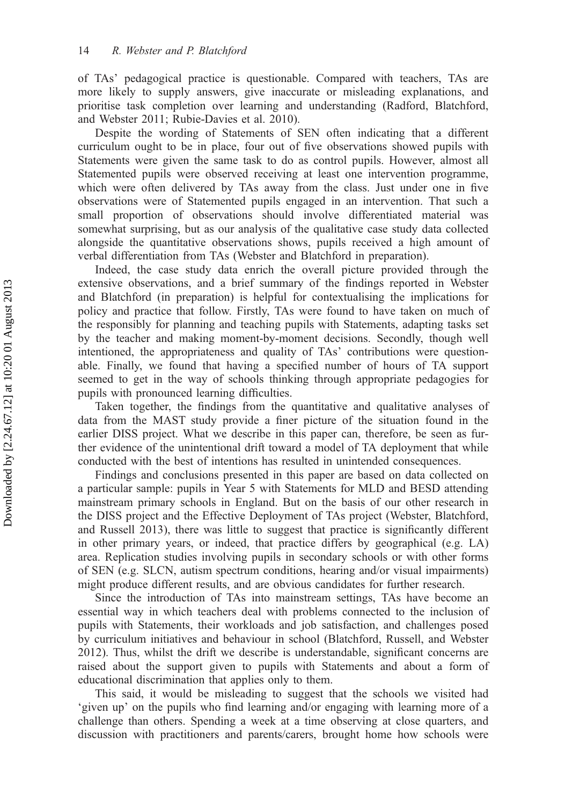of TAs' pedagogical practice is questionable. Compared with teachers, TAs are more likely to supply answers, give inaccurate or misleading explanations, and prioritise task completion over learning and understanding (Radford, Blatchford, and Webster 2011; Rubie-Davies et al. 2010).

Despite the wording of Statements of SEN often indicating that a different curriculum ought to be in place, four out of five observations showed pupils with Statements were given the same task to do as control pupils. However, almost all Statemented pupils were observed receiving at least one intervention programme, which were often delivered by TAs away from the class. Just under one in five observations were of Statemented pupils engaged in an intervention. That such a small proportion of observations should involve differentiated material was somewhat surprising, but as our analysis of the qualitative case study data collected alongside the quantitative observations shows, pupils received a high amount of verbal differentiation from TAs (Webster and Blatchford in preparation).

Indeed, the case study data enrich the overall picture provided through the extensive observations, and a brief summary of the findings reported in Webster and Blatchford (in preparation) is helpful for contextualising the implications for policy and practice that follow. Firstly, TAs were found to have taken on much of the responsibly for planning and teaching pupils with Statements, adapting tasks set by the teacher and making moment-by-moment decisions. Secondly, though well intentioned, the appropriateness and quality of TAs' contributions were questionable. Finally, we found that having a specified number of hours of TA support seemed to get in the way of schools thinking through appropriate pedagogies for pupils with pronounced learning difficulties.

Taken together, the findings from the quantitative and qualitative analyses of data from the MAST study provide a finer picture of the situation found in the earlier DISS project. What we describe in this paper can, therefore, be seen as further evidence of the unintentional drift toward a model of TA deployment that while conducted with the best of intentions has resulted in unintended consequences.

Findings and conclusions presented in this paper are based on data collected on a particular sample: pupils in Year 5 with Statements for MLD and BESD attending mainstream primary schools in England. But on the basis of our other research in the DISS project and the Effective Deployment of TAs project (Webster, Blatchford, and Russell 2013), there was little to suggest that practice is significantly different in other primary years, or indeed, that practice differs by geographical (e.g. LA) area. Replication studies involving pupils in secondary schools or with other forms of SEN (e.g. SLCN, autism spectrum conditions, hearing and/or visual impairments) might produce different results, and are obvious candidates for further research.

Since the introduction of TAs into mainstream settings, TAs have become an essential way in which teachers deal with problems connected to the inclusion of pupils with Statements, their workloads and job satisfaction, and challenges posed by curriculum initiatives and behaviour in school (Blatchford, Russell, and Webster 2012). Thus, whilst the drift we describe is understandable, significant concerns are raised about the support given to pupils with Statements and about a form of educational discrimination that applies only to them.

This said, it would be misleading to suggest that the schools we visited had 'given up' on the pupils who find learning and/or engaging with learning more of a challenge than others. Spending a week at a time observing at close quarters, and discussion with practitioners and parents/carers, brought home how schools were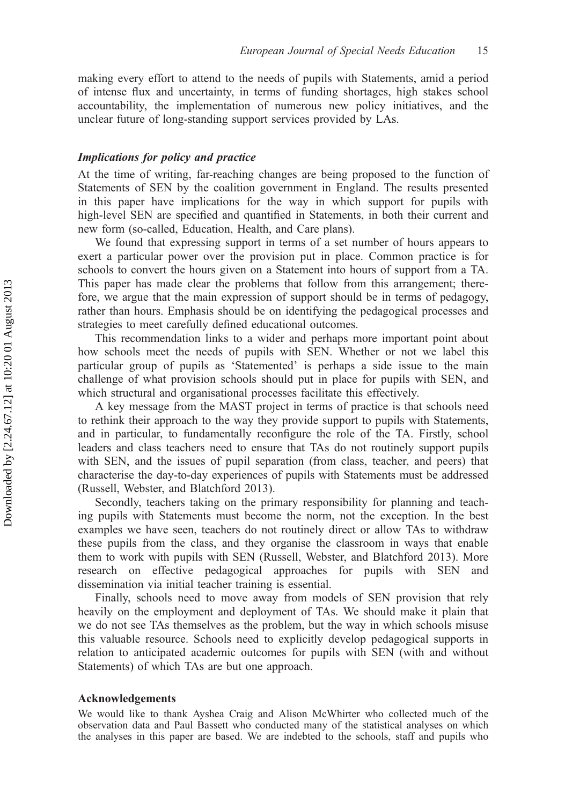making every effort to attend to the needs of pupils with Statements, amid a period of intense flux and uncertainty, in terms of funding shortages, high stakes school accountability, the implementation of numerous new policy initiatives, and the unclear future of long-standing support services provided by LAs.

#### Implications for policy and practice

At the time of writing, far-reaching changes are being proposed to the function of Statements of SEN by the coalition government in England. The results presented in this paper have implications for the way in which support for pupils with high-level SEN are specified and quantified in Statements, in both their current and new form (so-called, Education, Health, and Care plans).

We found that expressing support in terms of a set number of hours appears to exert a particular power over the provision put in place. Common practice is for schools to convert the hours given on a Statement into hours of support from a TA. This paper has made clear the problems that follow from this arrangement; therefore, we argue that the main expression of support should be in terms of pedagogy, rather than hours. Emphasis should be on identifying the pedagogical processes and strategies to meet carefully defined educational outcomes.

This recommendation links to a wider and perhaps more important point about how schools meet the needs of pupils with SEN. Whether or not we label this particular group of pupils as 'Statemented' is perhaps a side issue to the main challenge of what provision schools should put in place for pupils with SEN, and which structural and organisational processes facilitate this effectively.

A key message from the MAST project in terms of practice is that schools need to rethink their approach to the way they provide support to pupils with Statements, and in particular, to fundamentally reconfigure the role of the TA. Firstly, school leaders and class teachers need to ensure that TAs do not routinely support pupils with SEN, and the issues of pupil separation (from class, teacher, and peers) that characterise the day-to-day experiences of pupils with Statements must be addressed (Russell, Webster, and Blatchford 2013).

Secondly, teachers taking on the primary responsibility for planning and teaching pupils with Statements must become the norm, not the exception. In the best examples we have seen, teachers do not routinely direct or allow TAs to withdraw these pupils from the class, and they organise the classroom in ways that enable them to work with pupils with SEN (Russell, Webster, and Blatchford 2013). More research on effective pedagogical approaches for pupils with SEN and dissemination via initial teacher training is essential.

Finally, schools need to move away from models of SEN provision that rely heavily on the employment and deployment of TAs. We should make it plain that we do not see TAs themselves as the problem, but the way in which schools misuse this valuable resource. Schools need to explicitly develop pedagogical supports in relation to anticipated academic outcomes for pupils with SEN (with and without Statements) of which TAs are but one approach.

#### Acknowledgements

We would like to thank Ayshea Craig and Alison McWhirter who collected much of the observation data and Paul Bassett who conducted many of the statistical analyses on which the analyses in this paper are based. We are indebted to the schools, staff and pupils who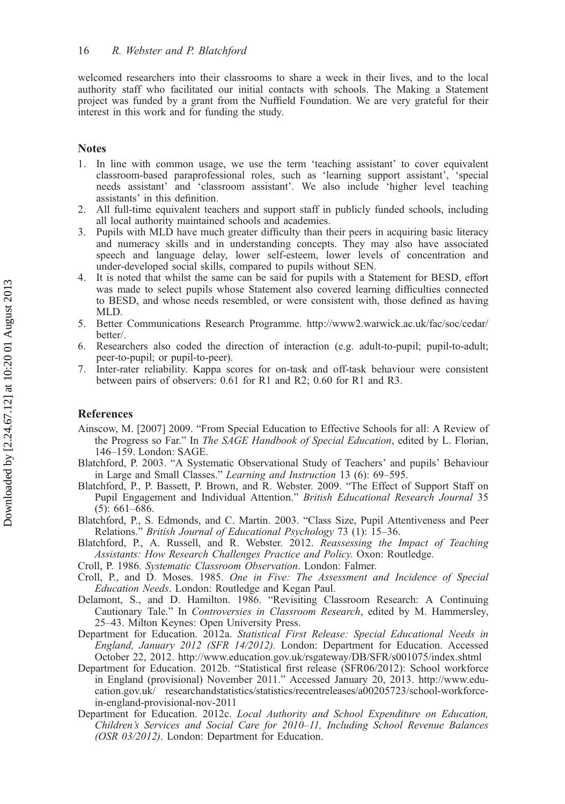welcomed researchers into their classrooms to share a week in their lives, and to the local authority staff who facilitated our initial contacts with schools. The Making a Statement project was funded by a grant from the Nuffield Foundation. We are very grateful for their interest in this work and for funding the study.

## **Notes**

- 1. In line with common usage, we use the term 'teaching assistant' to cover equivalent classroom-based paraprofessional roles, such as 'learning support assistant', 'special needs assistant' and 'classroom assistant'. We also include 'higher level teaching assistants' in this definition.
- 2. All full-time equivalent teachers and support staff in publicly funded schools, including all local authority maintained schools and academies.
- 3. Pupils with MLD have much greater difficulty than their peers in acquiring basic literacy and numeracy skills and in understanding concepts. They may also have associated speech and language delay, lower self-esteem, lower levels of concentration and under-developed social skills, compared to pupils without SEN.
- 4. It is noted that whilst the same can be said for pupils with a Statement for BESD, effort was made to select pupils whose Statement also covered learning difficulties connected to BESD, and whose needs resembled, or were consistent with, those defined as having MLD.
- 5. Better Communications Research Programme. [http://www2.warwick.ac.uk/fac/soc/cedar/](http://www2.warwick.ac.uk/fac/soc/cedar/better/) [better/.](http://www2.warwick.ac.uk/fac/soc/cedar/better/)
- 6. Researchers also coded the direction of interaction (e.g. adult-to-pupil; pupil-to-adult; peer-to-pupil; or pupil-to-peer).
- 7. Inter-rater reliability. Kappa scores for on-task and off-task behaviour were consistent between pairs of observers: 0.61 for R1 and R2; 0.60 for R1 and R3.

## References

- Ainscow, M. [2007] 2009. "From Special Education to Effective Schools for all: A Review of the Progress so Far." In The SAGE Handbook of Special Education, edited by L. Florian, 146–159. London: SAGE.
- Blatchford, P. 2003. "A Systematic Observational Study of Teachers' and pupils' Behaviour in Large and Small Classes." Learning and Instruction 13 (6): 69–595.
- Blatchford, P., P. Bassett, P. Brown, and R. Webster. 2009. "The Effect of Support Staff on Pupil Engagement and Individual Attention." British Educational Research Journal 35 (5): 661–686.
- Blatchford, P., S. Edmonds, and C. Martin. 2003. "Class Size, Pupil Attentiveness and Peer Relations." British Journal of Educational Psychology 73 (1): 15–36.
- Blatchford, P., A. Russell, and R. Webster. 2012. Reassessing the Impact of Teaching Assistants: How Research Challenges Practice and Policy. Oxon: Routledge.
- Croll, P. 1986. Systematic Classroom Observation. London: Falmer.
- Croll, P., and D. Moses. 1985. One in Five: The Assessment and Incidence of Special Education Needs. London: Routledge and Kegan Paul.
- Delamont, S., and D. Hamilton. 1986. "Revisiting Classroom Research: A Continuing Cautionary Tale." In Controversies in Classroom Research, edited by M. Hammersley, 25–43. Milton Keynes: Open University Press.
- Department for Education. 2012a. Statistical First Release: Special Educational Needs in England, January 2012 (SFR 14/2012). London: Department for Education. Accessed October 22, 2012.<http://www.education.gov.uk/rsgateway/DB/SFR/s001075/index.shtml>
- Department for Education. 2012b. "Statistical first release (SFR06/2012): School workforce in England (provisional) November 2011." Accessed January 20, 2013. [http://www.edu](http://www.education.gov.uk/%20researchandstatistics/statistics/recentreleases/a00205723/school-workforce-in-england-provisional-nov-2011)[cation.gov.uk/ researchandstatistics/statistics/recentreleases/a00205723/school-workforce](http://www.education.gov.uk/%20researchandstatistics/statistics/recentreleases/a00205723/school-workforce-in-england-provisional-nov-2011)[in-england-provisional-nov-2011](http://www.education.gov.uk/%20researchandstatistics/statistics/recentreleases/a00205723/school-workforce-in-england-provisional-nov-2011)
- Department for Education. 2012c. Local Authority and School Expenditure on Education, Children's Services and Social Care for 2010–11, Including School Revenue Balances (OSR 03/2012). London: Department for Education.